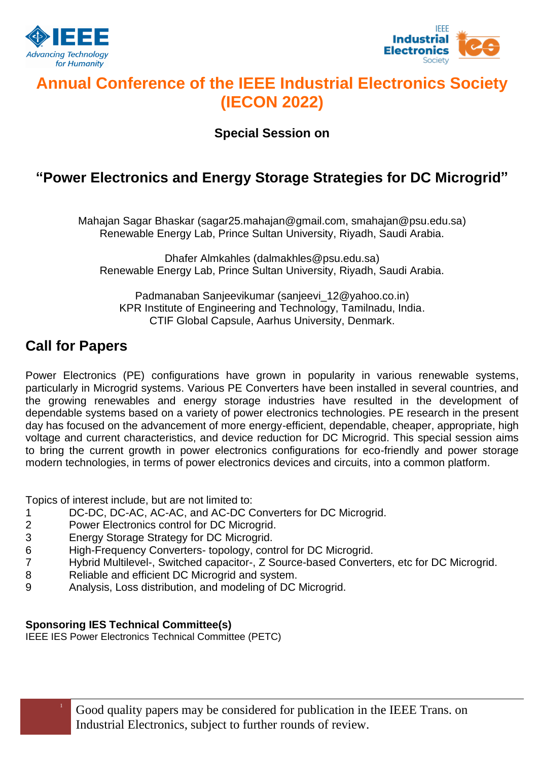



## **Annual Conference of the IEEE Industrial Electronics Society (IECON 2022)**

**Special Session on**

## **"Power Electronics and Energy Storage Strategies for DC Microgrid"**

Mahajan Sagar Bhaskar (sagar25.mahajan@gmail.com, smahajan@psu.edu.sa) Renewable Energy Lab, Prince Sultan University, Riyadh, Saudi Arabia.

Dhafer Almkahles (dalmakhles@psu.edu.sa) Renewable Energy Lab, Prince Sultan University, Riyadh, Saudi Arabia.

Padmanaban Sanjeevikumar (sanjeevi\_12@yahoo.co.jn) KPR Institute of Engineering and Technology, Tamilnadu, India. CTIF Global Capsule, Aarhus University, Denmark.

### **Call for Papers**

Power Electronics (PE) configurations have grown in popularity in various renewable systems, particularly in Microgrid systems. Various PE Converters have been installed in several countries, and the growing renewables and energy storage industries have resulted in the development of dependable systems based on a variety of power electronics technologies. PE research in the present day has focused on the advancement of more energy-efficient, dependable, cheaper, appropriate, high voltage and current characteristics, and device reduction for DC Microgrid. This special session aims to bring the current growth in power electronics configurations for eco-friendly and power storage modern technologies, in terms of power electronics devices and circuits, into a common platform.

Topics of interest include, but are not limited to:

- 1 DC-DC, DC-AC, AC-AC, and AC-DC Converters for DC Microgrid.
- 2 Power Electronics control for DC Microgrid.
- 3 Energy Storage Strategy for DC Microgrid.
- 6 High-Frequency Converters- topology, control for DC Microgrid.
- 7 Hybrid Multilevel-, Switched capacitor-, Z Source-based Converters, etc for DC Microgrid.
- 8 Reliable and efficient DC Microgrid and system.
- 9 Analysis, Loss distribution, and modeling of DC Microgrid.

#### **Sponsoring IES Technical Committee(s)**

IEEE IES Power Electronics Technical Committee (PETC)